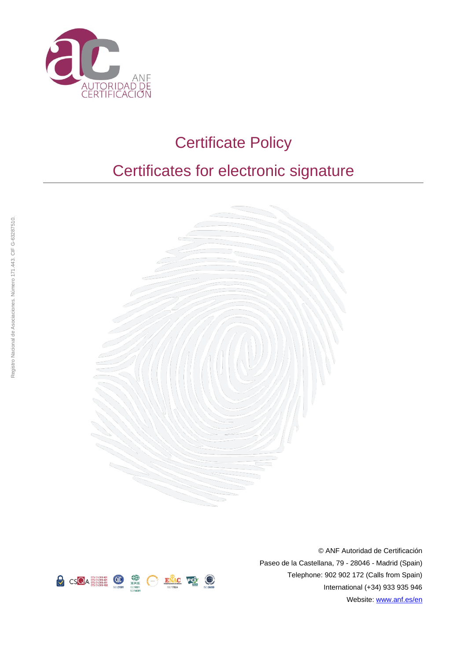

# Certificate Policy

# Certificates for electronic signature





© ANF Autoridad de Certificación Paseo de la Castellana, 79 - 28046 - Madrid (Spain) Telephone: 902 902 172 (Calls from Spain) International (+34) 933 935 946 Website[: www.anf.es/en](http://www.anf.es/en)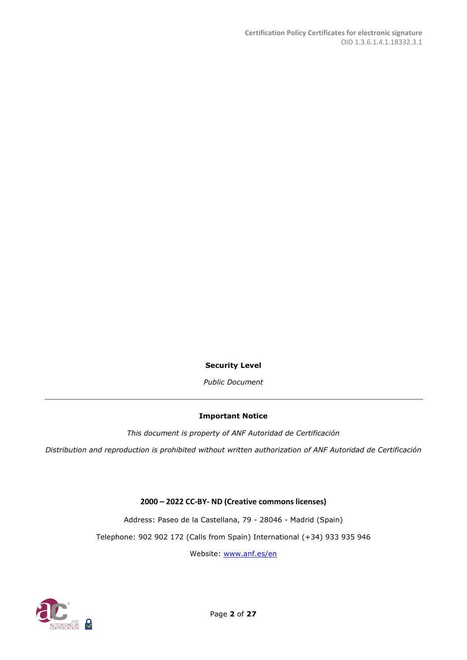**Security Level**

*Public Document*

#### **Important Notice**

*This document is property of ANF Autoridad de Certificación*

*Distribution and reproduction is prohibited without written authorization of ANF Autoridad de Certificación*

**2000 – 2022 CC-BY- ND (Creative commons licenses)**

Address: Paseo de la Castellana, 79 - 28046 - Madrid (Spain)

Telephone: 902 902 172 (Calls from Spain) International (+34) 933 935 946

Website: [www.anf.es/en](http://www.anf.es/en)

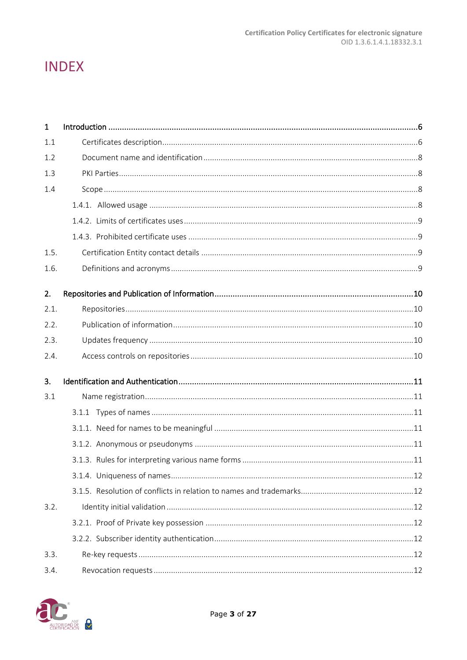## **INDEX**

| $\mathbf{1}$ |  |
|--------------|--|
| 1.1          |  |
| 1.2          |  |
| 1.3          |  |
| 1.4          |  |
|              |  |
|              |  |
|              |  |
| 1.5.         |  |
| 1.6.         |  |
| 2.           |  |
| 2.1.         |  |
| 2.2.         |  |
| 2.3.         |  |
| 2.4.         |  |
| 3.           |  |
| 3.1          |  |
|              |  |
|              |  |
|              |  |
|              |  |
|              |  |
|              |  |
| 3.2.         |  |
|              |  |
|              |  |
| 3.3.         |  |
| 3.4.         |  |

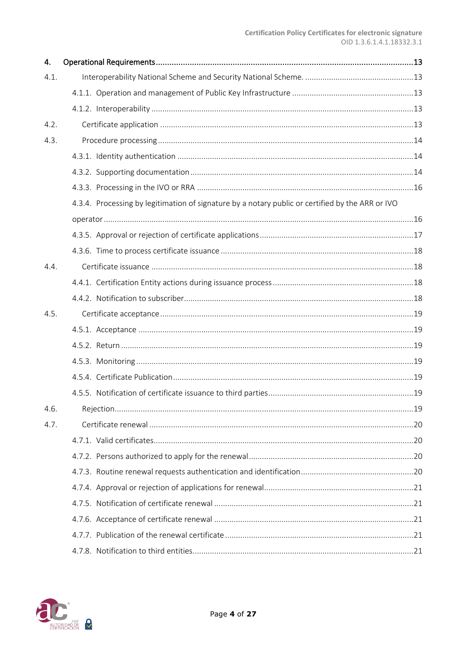| 4.   |                                                                                                  |  |
|------|--------------------------------------------------------------------------------------------------|--|
| 4.1. |                                                                                                  |  |
|      |                                                                                                  |  |
|      |                                                                                                  |  |
| 4.2. |                                                                                                  |  |
| 4.3. |                                                                                                  |  |
|      |                                                                                                  |  |
|      |                                                                                                  |  |
|      |                                                                                                  |  |
|      | 4.3.4. Processing by legitimation of signature by a notary public or certified by the ARR or IVO |  |
|      |                                                                                                  |  |
|      |                                                                                                  |  |
|      |                                                                                                  |  |
| 4.4. |                                                                                                  |  |
|      |                                                                                                  |  |
|      |                                                                                                  |  |
| 4.5. |                                                                                                  |  |
|      |                                                                                                  |  |
|      |                                                                                                  |  |
|      |                                                                                                  |  |
|      |                                                                                                  |  |
|      |                                                                                                  |  |
| 4.6. |                                                                                                  |  |
| 4.7. |                                                                                                  |  |
|      |                                                                                                  |  |
|      |                                                                                                  |  |
|      |                                                                                                  |  |
|      |                                                                                                  |  |
|      |                                                                                                  |  |
|      |                                                                                                  |  |
|      |                                                                                                  |  |
|      |                                                                                                  |  |

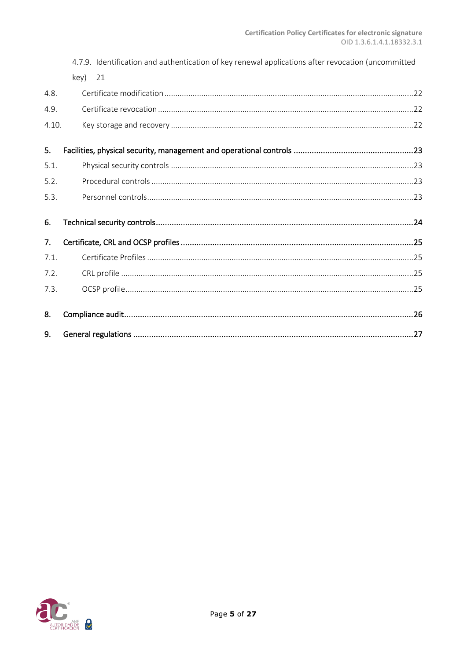|       | 4.7.9. Identification and authentication of key renewal applications after revocation (uncommitted |  |
|-------|----------------------------------------------------------------------------------------------------|--|
|       | 21<br>key)                                                                                         |  |
| 4.8.  |                                                                                                    |  |
| 4.9.  |                                                                                                    |  |
| 4.10. |                                                                                                    |  |
| 5.    |                                                                                                    |  |
| 5.1.  |                                                                                                    |  |
| 5.2.  |                                                                                                    |  |
| 5.3.  |                                                                                                    |  |
| 6.    |                                                                                                    |  |
| 7.    |                                                                                                    |  |
| 7.1.  |                                                                                                    |  |
| 7.2.  |                                                                                                    |  |
| 7.3.  |                                                                                                    |  |
| 8.    |                                                                                                    |  |
| 9.    |                                                                                                    |  |

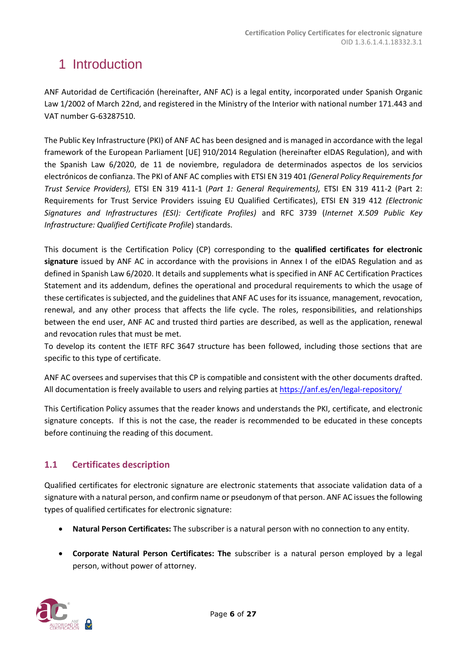## <span id="page-5-0"></span>1 Introduction

ANF Autoridad de Certificación (hereinafter, ANF AC) is a legal entity, incorporated under Spanish Organic Law 1/2002 of March 22nd, and registered in the Ministry of the Interior with national number 171.443 and VAT number G-63287510.

The Public Key Infrastructure (PKI) of ANF AC has been designed and is managed in accordance with the legal framework of the European Parliament [UE] 910/2014 Regulation (hereinafter eIDAS Regulation), and with the Spanish Law 6/2020, de 11 de noviembre, reguladora de determinados aspectos de los servicios electrónicos de confianza. The PKI of ANF AC complies with ETSI EN 319 401 *(General Policy Requirements for Trust Service Providers),* ETSI EN 319 411-1 (*Part 1: General Requirements),* ETSI EN 319 411-2 (Part 2: Requirements for Trust Service Providers issuing EU Qualified Certificates), ETSI EN 319 412 *(Electronic Signatures and Infrastructures (ESI): Certificate Profiles)* and RFC 3739 (*Internet X.509 Public Key Infrastructure: Qualified Certificate Profile*) standards.

This document is the Certification Policy (CP) corresponding to the **qualified certificates for electronic signature** issued by ANF AC in accordance with the provisions in Annex I of the eIDAS Regulation and as defined in Spanish Law 6/2020. It details and supplements what is specified in ANF AC Certification Practices Statement and its addendum, defines the operational and procedural requirements to which the usage of these certificates is subjected, and the guidelines that ANF AC uses for its issuance, management, revocation, renewal, and any other process that affects the life cycle. The roles, responsibilities, and relationships between the end user, ANF AC and trusted third parties are described, as well as the application, renewal and revocation rules that must be met.

To develop its content the IETF RFC 3647 structure has been followed, including those sections that are specific to this type of certificate.

ANF AC oversees and supervises that this CP is compatible and consistent with the other documents drafted. All documentation is freely available to users and relying parties a[t https://anf.es/en/legal-repository/](https://anf.es/en/legal-repository/)

This Certification Policy assumes that the reader knows and understands the PKI, certificate, and electronic signature concepts. If this is not the case, the reader is recommended to be educated in these concepts before continuing the reading of this document.

## <span id="page-5-1"></span>**1.1 Certificates description**

Qualified certificates for electronic signature are electronic statements that associate validation data of a signature with a natural person, and confirm name or pseudonym of that person. ANF AC issues the following types of qualified certificates for electronic signature:

- **Natural Person Certificates:** The subscriber is a natural person with no connection to any entity.
- **Corporate Natural Person Certificates: The** subscriber is a natural person employed by a legal person, without power of attorney.

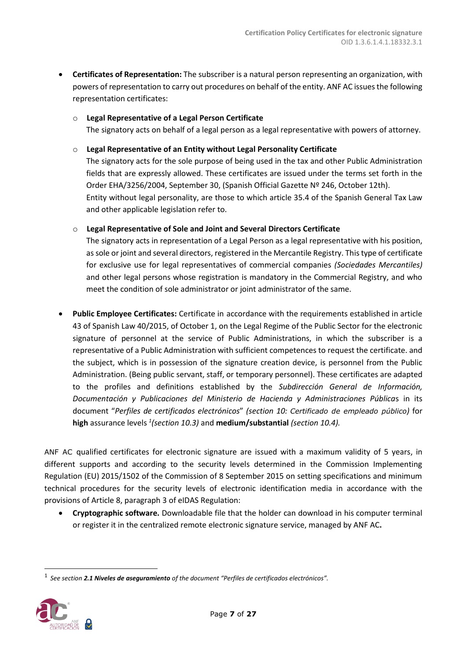- **Certificates of Representation:** The subscriber is a natural person representing an organization, with powers of representation to carry out procedures on behalf of the entity. ANF AC issues the following representation certificates:
	- o **Legal Representative of a Legal Person Certificate**  The signatory acts on behalf of a legal person as a legal representative with powers of attorney.
	- o **Legal Representative of an Entity without Legal Personality Certificate**

The signatory acts for the sole purpose of being used in the tax and other Public Administration fields that are expressly allowed. These certificates are issued under the terms set forth in the Order EHA/3256/2004, September 30, (Spanish Official Gazette Nº 246, October 12th). Entity without legal personality, are those to which article 35.4 of the Spanish General Tax Law and other applicable legislation refer to.

o **Legal Representative of Sole and Joint and Several Directors Certificate**

The signatory acts in representation of a Legal Person as a legal representative with his position, as sole or joint and several directors, registered in the Mercantile Registry. This type of certificate for exclusive use for legal representatives of commercial companies *(Sociedades Mercantiles)* and other legal persons whose registration is mandatory in the Commercial Registry, and who meet the condition of sole administrator or joint administrator of the same.

• **Public Employee Certificates:** Certificate in accordance with the requirements established in article 43 of Spanish Law 40/2015, of October 1, on the Legal Regime of the Public Sector for the electronic signature of personnel at the service of Public Administrations, in which the subscriber is a representative of a Public Administration with sufficient competences to request the certificate. and the subject, which is in possession of the signature creation device, is personnel from the Public Administration. (Being public servant, staff, or temporary personnel). These certificates are adapted to the profiles and definitions established by the *Subdirección General de Información, Documentación y Publicaciones del Ministerio de Hacienda y Administraciones Pública*s in its document "*Perfiles de certificados electrónicos*" *(section 10: Certificado de empleado público)* for **high** assurance levels *<sup>1</sup> (section 10.3)* and **medium/substantial** *(section 10.4).*

ANF AC qualified certificates for electronic signature are issued with a maximum validity of 5 years, in different supports and according to the security levels determined in the Commission Implementing Regulation (EU) 2015/1502 of the Commission of 8 September 2015 on setting specifications and minimum technical procedures for the security levels of electronic identification media in accordance with the provisions of Article 8, paragraph 3 of eIDAS Regulation:

• **Cryptographic software.** Downloadable file that the holder can download in his computer terminal or register it in the centralized remote electronic signature service, managed by ANF AC**.**

<sup>1</sup> *See section 2.1 Niveles de aseguramiento of the document "Perfiles de certificados electrónicos".*

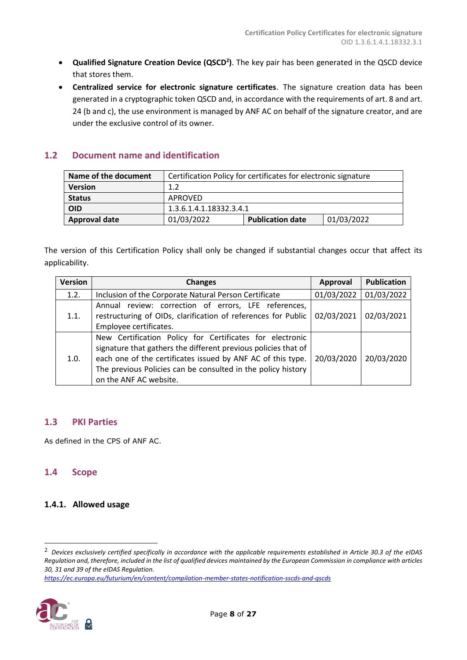- **Qualified Signature Creation Device (QSCD<sup>2</sup> )**. The key pair has been generated in the QSCD device that stores them.
- **Centralized service for electronic signature certificates**. The signature creation data has been generated in a cryptographic token QSCD and, in accordance with the requirements of art. 8 and art. 24 (b and c), the use environment is managed by ANF AC on behalf of the signature creator, and are under the exclusive control of its owner.

## <span id="page-7-0"></span>**1.2 Document name and identification**

| Name of the document | Certification Policy for certificates for electronic signature |                         |            |
|----------------------|----------------------------------------------------------------|-------------------------|------------|
| <b>Version</b>       | 1.2                                                            |                         |            |
| <b>Status</b>        | APROVED                                                        |                         |            |
| <b>OID</b>           | 1.3.6.1.4.1.18332.3.4.1                                        |                         |            |
| <b>Approval date</b> | 01/03/2022                                                     | <b>Publication date</b> | 01/03/2022 |

The version of this Certification Policy shall only be changed if substantial changes occur that affect its applicability.

| <b>Version</b> | <b>Changes</b>                                                                                                                                                                                                                                                                      | Approval   | <b>Publication</b> |
|----------------|-------------------------------------------------------------------------------------------------------------------------------------------------------------------------------------------------------------------------------------------------------------------------------------|------------|--------------------|
| 1.2.           | Inclusion of the Corporate Natural Person Certificate                                                                                                                                                                                                                               | 01/03/2022 | 01/03/2022         |
| 1.1.           | Annual review: correction of errors, LFE references,<br>restructuring of OIDs, clarification of references for Public<br>Employee certificates.                                                                                                                                     | 02/03/2021 | 02/03/2021         |
| 1.0.           | New Certification Policy for Certificates for electronic<br>signature that gathers the different previous policies that of<br>each one of the certificates issued by ANF AC of this type.<br>The previous Policies can be consulted in the policy history<br>on the ANF AC website. | 20/03/2020 | 20/03/2020         |

#### <span id="page-7-1"></span>**1.3 PKI Parties**

As defined in the CPS of ANF AC.

#### <span id="page-7-2"></span>**1.4 Scope**

## <span id="page-7-3"></span>**1.4.1. Allowed usage**

*<https://ec.europa.eu/futurium/en/content/compilation-member-states-notification-sscds-and-qscds>*



<sup>2</sup> *Devices exclusively certified specifically in accordance with the applicable requirements established in Article 30.3 of the eIDAS Regulation and, therefore, included in the list of qualified devices maintained by the European Commission in compliance with articles 30, 31 and 39 of the eIDAS Regulation.*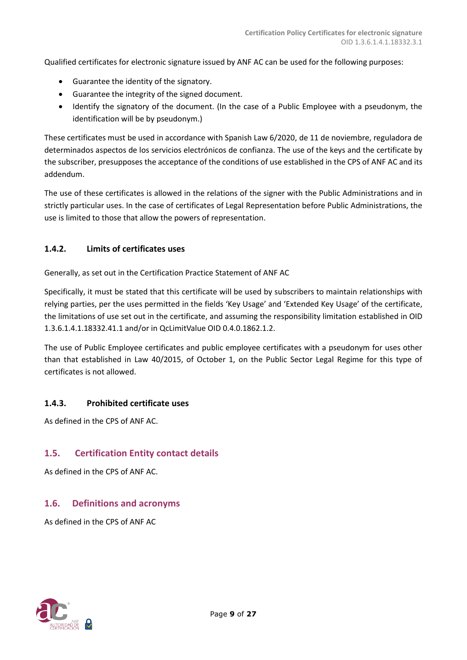Qualified certificates for electronic signature issued by ANF AC can be used for the following purposes:

- Guarantee the identity of the signatory.
- Guarantee the integrity of the signed document.
- Identify the signatory of the document. (In the case of a Public Employee with a pseudonym, the identification will be by pseudonym.)

These certificates must be used in accordance with Spanish Law 6/2020, de 11 de noviembre, reguladora de determinados aspectos de los servicios electrónicos de confianza. The use of the keys and the certificate by the subscriber, presupposes the acceptance of the conditions of use established in the CPS of ANF AC and its addendum.

The use of these certificates is allowed in the relations of the signer with the Public Administrations and in strictly particular uses. In the case of certificates of Legal Representation before Public Administrations, the use is limited to those that allow the powers of representation.

#### <span id="page-8-0"></span>**1.4.2. Limits of certificates uses**

Generally, as set out in the Certification Practice Statement of ANF AC

Specifically, it must be stated that this certificate will be used by subscribers to maintain relationships with relying parties, per the uses permitted in the fields 'Key Usage' and 'Extended Key Usage' of the certificate, the limitations of use set out in the certificate, and assuming the responsibility limitation established in OID 1.3.6.1.4.1.18332.41.1 and/or in QcLimitValue OID 0.4.0.1862.1.2.

The use of Public Employee certificates and public employee certificates with a pseudonym for uses other than that established in Law 40/2015, of October 1, on the Public Sector Legal Regime for this type of certificates is not allowed.

#### <span id="page-8-1"></span>**1.4.3. Prohibited certificate uses**

As defined in the CPS of ANF AC.

#### <span id="page-8-2"></span>**1.5. Certification Entity contact details**

As defined in the CPS of ANF AC.

#### <span id="page-8-3"></span>**1.6. Definitions and acronyms**

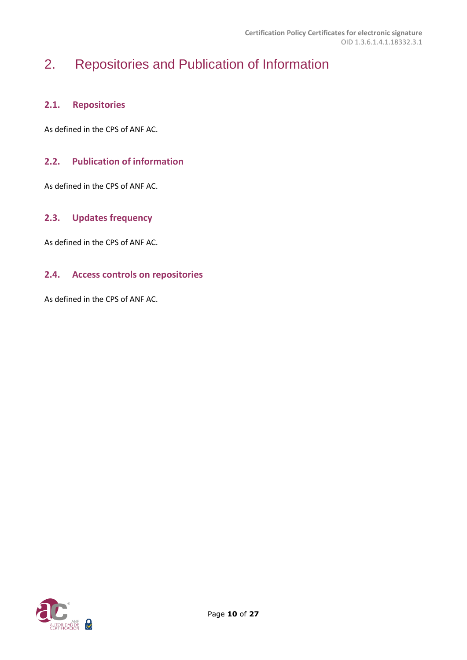## <span id="page-9-0"></span>2. Repositories and Publication of Information

## <span id="page-9-1"></span>**2.1. Repositories**

As defined in the CPS of ANF AC.

## <span id="page-9-2"></span>**2.2. Publication of information**

As defined in the CPS of ANF AC.

## <span id="page-9-3"></span>**2.3. Updates frequency**

As defined in the CPS of ANF AC.

## <span id="page-9-4"></span>**2.4. Access controls on repositories**

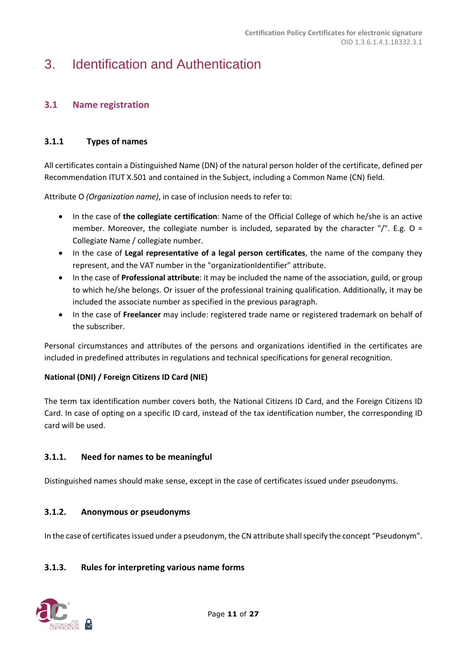## <span id="page-10-0"></span>3. Identification and Authentication

## <span id="page-10-1"></span>**3.1 Name registration**

## <span id="page-10-2"></span>**3.1.1 Types of names**

All certificates contain a Distinguished Name (DN) of the natural person holder of the certificate, defined per Recommendation ITUT X.501 and contained in the Subject, including a Common Name (CN) field.

Attribute O *(Organization name)*, in case of inclusion needs to refer to:

- In the case of **the collegiate certification**: Name of the Official College of which he/she is an active member. Moreover, the collegiate number is included, separated by the character " $/$ ". E.g. O = Collegiate Name / collegiate number.
- In the case of **Legal representative of a legal person certificates**, the name of the company they represent, and the VAT number in the "organizationIdentifier" attribute.
- In the case of **Professional attribute**: it may be included the name of the association, guild, or group to which he/she belongs. Or issuer of the professional training qualification. Additionally, it may be included the associate number as specified in the previous paragraph.
- In the case of **Freelancer** may include: registered trade name or registered trademark on behalf of the subscriber.

Personal circumstances and attributes of the persons and organizations identified in the certificates are included in predefined attributes in regulations and technical specifications for general recognition.

#### **National (DNI) / Foreign Citizens ID Card (NIE)**

The term tax identification number covers both, the National Citizens ID Card, and the Foreign Citizens ID Card. In case of opting on a specific ID card, instead of the tax identification number, the corresponding ID card will be used.

## <span id="page-10-3"></span>**3.1.1. Need for names to be meaningful**

Distinguished names should make sense, except in the case of certificates issued under pseudonyms.

## <span id="page-10-4"></span>**3.1.2. Anonymous or pseudonyms**

In the case of certificates issued under a pseudonym, the CN attribute shall specify the concept "Pseudonym".

## <span id="page-10-5"></span>**3.1.3. Rules for interpreting various name forms**

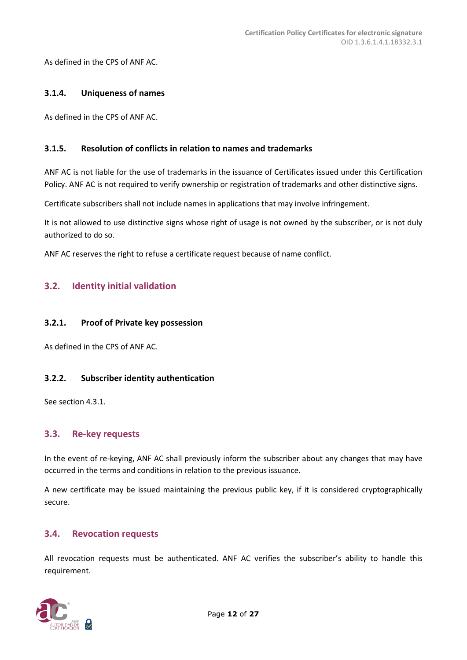As defined in the CPS of ANF AC.

#### <span id="page-11-0"></span>**3.1.4. Uniqueness of names**

As defined in the CPS of ANF AC.

#### <span id="page-11-1"></span>**3.1.5. Resolution of conflicts in relation to names and trademarks**

ANF AC is not liable for the use of trademarks in the issuance of Certificates issued under this Certification Policy. ANF AC is not required to verify ownership or registration of trademarks and other distinctive signs.

Certificate subscribers shall not include names in applications that may involve infringement.

It is not allowed to use distinctive signs whose right of usage is not owned by the subscriber, or is not duly authorized to do so.

ANF AC reserves the right to refuse a certificate request because of name conflict.

## <span id="page-11-2"></span>**3.2. Identity initial validation**

#### <span id="page-11-3"></span>**3.2.1. Proof of Private key possession**

As defined in the CPS of ANF AC.

#### <span id="page-11-4"></span>**3.2.2. Subscriber identity authentication**

See section 4.3.1.

#### <span id="page-11-5"></span>**3.3. Re-key requests**

In the event of re-keying, ANF AC shall previously inform the subscriber about any changes that may have occurred in the terms and conditions in relation to the previous issuance.

A new certificate may be issued maintaining the previous public key, if it is considered cryptographically secure.

#### <span id="page-11-6"></span>**3.4. Revocation requests**

All revocation requests must be authenticated. ANF AC verifies the subscriber's ability to handle this requirement.

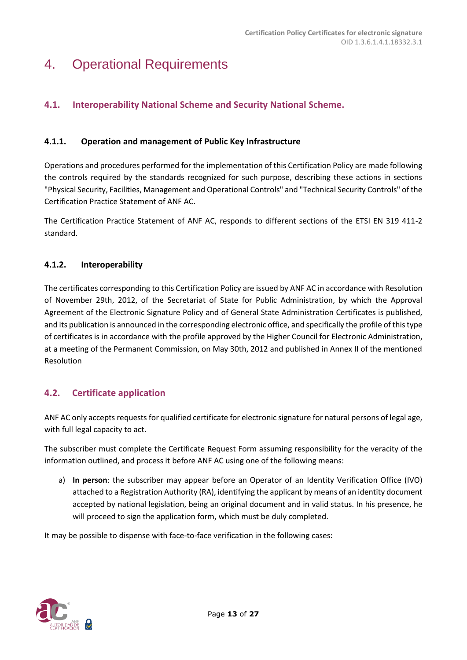## <span id="page-12-0"></span>4. Operational Requirements

## <span id="page-12-1"></span>**4.1. Interoperability National Scheme and Security National Scheme.**

## <span id="page-12-2"></span>**4.1.1. Operation and management of Public Key Infrastructure**

Operations and procedures performed for the implementation of this Certification Policy are made following the controls required by the standards recognized for such purpose, describing these actions in sections "Physical Security, Facilities, Management and Operational Controls" and "Technical Security Controls" of the Certification Practice Statement of ANF AC.

The Certification Practice Statement of ANF AC, responds to different sections of the ETSI EN 319 411-2 standard.

## <span id="page-12-3"></span>**4.1.2. Interoperability**

The certificates corresponding to this Certification Policy are issued by ANF AC in accordance with Resolution of November 29th, 2012, of the Secretariat of State for Public Administration, by which the Approval Agreement of the Electronic Signature Policy and of General State Administration Certificates is published, and its publication is announced in the corresponding electronic office, and specifically the profile of this type of certificates is in accordance with the profile approved by the Higher Council for Electronic Administration, at a meeting of the Permanent Commission, on May 30th, 2012 and published in Annex II of the mentioned Resolution

## <span id="page-12-4"></span>**4.2. Certificate application**

ANF AC only accepts requests for qualified certificate for electronic signature for natural persons of legal age, with full legal capacity to act.

The subscriber must complete the Certificate Request Form assuming responsibility for the veracity of the information outlined, and process it before ANF AC using one of the following means:

a) **In person**: the subscriber may appear before an Operator of an Identity Verification Office (IVO) attached to a Registration Authority (RA), identifying the applicant by means of an identity document accepted by national legislation, being an original document and in valid status. In his presence, he will proceed to sign the application form, which must be duly completed.

It may be possible to dispense with face-to-face verification in the following cases:

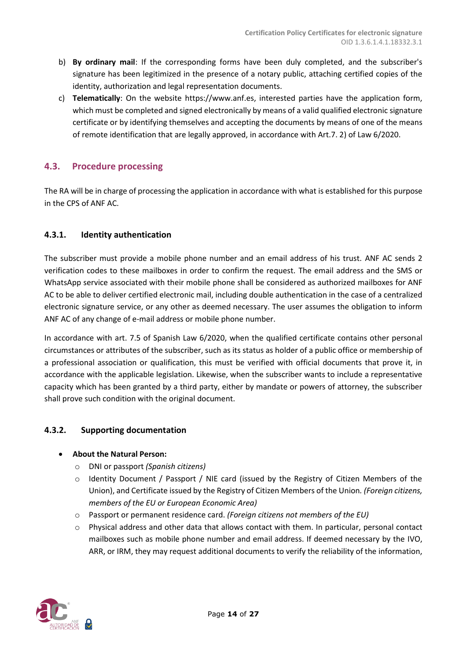- b) **By ordinary mail**: If the corresponding forms have been duly completed, and the subscriber's signature has been legitimized in the presence of a notary public, attaching certified copies of the identity, authorization and legal representation documents.
- c) **Telematically**: On the website https://www.anf.es, interested parties have the application form, which must be completed and signed electronically by means of a valid qualified electronic signature certificate or by identifying themselves and accepting the documents by means of one of the means of remote identification that are legally approved, in accordance with Art.7. 2) of Law 6/2020.

## <span id="page-13-0"></span>**4.3. Procedure processing**

The RA will be in charge of processing the application in accordance with what is established for this purpose in the CPS of ANF AC.

## <span id="page-13-1"></span>**4.3.1. Identity authentication**

The subscriber must provide a mobile phone number and an email address of his trust. ANF AC sends 2 verification codes to these mailboxes in order to confirm the request. The email address and the SMS or WhatsApp service associated with their mobile phone shall be considered as authorized mailboxes for ANF AC to be able to deliver certified electronic mail, including double authentication in the case of a centralized electronic signature service, or any other as deemed necessary. The user assumes the obligation to inform ANF AC of any change of e-mail address or mobile phone number.

In accordance with art. 7.5 of Spanish Law 6/2020, when the qualified certificate contains other personal circumstances or attributes of the subscriber, such as its status as holder of a public office or membership of a professional association or qualification, this must be verified with official documents that prove it, in accordance with the applicable legislation. Likewise, when the subscriber wants to include a representative capacity which has been granted by a third party, either by mandate or powers of attorney, the subscriber shall prove such condition with the original document.

#### <span id="page-13-2"></span>**4.3.2. Supporting documentation**

#### • **About the Natural Person:**

- o DNI or passport *(Spanish citizens)*
- o Identity Document / Passport / NIE card (issued by the Registry of Citizen Members of the Union), and Certificate issued by the Registry of Citizen Members of the Union*. (Foreign citizens, members of the EU or European Economic Area)*
- o Passport or permanent residence card. *(Foreign citizens not members of the EU)*
- o Physical address and other data that allows contact with them. In particular, personal contact mailboxes such as mobile phone number and email address. If deemed necessary by the IVO, ARR, or IRM, they may request additional documents to verify the reliability of the information,

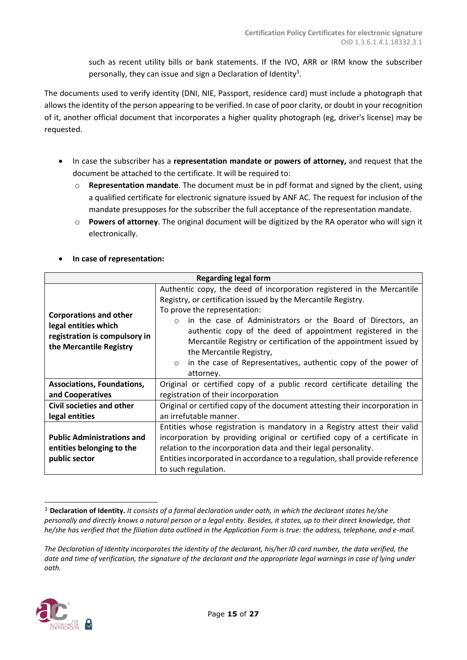such as recent utility bills or bank statements. If the IVO, ARR or IRM know the subscriber personally, they can issue and sign a Declaration of Identity<sup>3</sup>.

The documents used to verify identity (DNI, NIE, Passport, residence card) must include a photograph that allows the identity of the person appearing to be verified. In case of poor clarity, or doubt in your recognition of it, another official document that incorporates a higher quality photograph (eg, driver's license) may be requested.

- In case the subscriber has a **representation mandate or powers of attorney,** and request that the document be attached to the certificate. It will be required to:
	- o **Representation mandate**. The document must be in pdf format and signed by the client, using a qualified certificate for electronic signature issued by ANF AC. The request for inclusion of the mandate presupposes for the subscriber the full acceptance of the representation mandate.
	- o **Powers of attorney**. The original document will be digitized by the RA operator who will sign it electronically.

| <b>Regarding legal form</b>                                                                                       |                                                                                                                                                                                                                                                                                                                                                                                                                                                                                               |  |  |
|-------------------------------------------------------------------------------------------------------------------|-----------------------------------------------------------------------------------------------------------------------------------------------------------------------------------------------------------------------------------------------------------------------------------------------------------------------------------------------------------------------------------------------------------------------------------------------------------------------------------------------|--|--|
| <b>Corporations and other</b><br>legal entities which<br>registration is compulsory in<br>the Mercantile Registry | Authentic copy, the deed of incorporation registered in the Mercantile<br>Registry, or certification issued by the Mercantile Registry.<br>To prove the representation:<br>in the case of Administrators or the Board of Directors, an<br>$\cap$<br>authentic copy of the deed of appointment registered in the<br>Mercantile Registry or certification of the appointment issued by<br>the Mercantile Registry,<br>in the case of Representatives, authentic copy of the power of<br>$\circ$ |  |  |
| <b>Associations, Foundations,</b><br>and Cooperatives                                                             | attorney.<br>Original or certified copy of a public record certificate detailing the<br>registration of their incorporation                                                                                                                                                                                                                                                                                                                                                                   |  |  |
| Civil societies and other<br>legal entities                                                                       | Original or certified copy of the document attesting their incorporation in<br>an irrefutable manner.                                                                                                                                                                                                                                                                                                                                                                                         |  |  |
| <b>Public Administrations and</b><br>entities belonging to the<br>public sector                                   | Entities whose registration is mandatory in a Registry attest their valid<br>incorporation by providing original or certified copy of a certificate in<br>relation to the incorporation data and their legal personality.<br>Entities incorporated in accordance to a regulation, shall provide reference<br>to such regulation.                                                                                                                                                              |  |  |

## • **In case of representation:**

*The Declaration of Identity incorporates the identity of the declarant, his/her ID card number, the data verified, the date and time of verification, the signature of the declarant and the appropriate legal warnings in case of lying under oath.*



<sup>3</sup> **Declaration of Identity.** *It consists of a formal declaration under oath, in which the declarant states he/she personally and directly knows a natural person or a legal entity. Besides, it states, up to their direct knowledge, that he/she has verified that the filiation data outlined in the Application Form is true: the address, telephone, and e-mail.*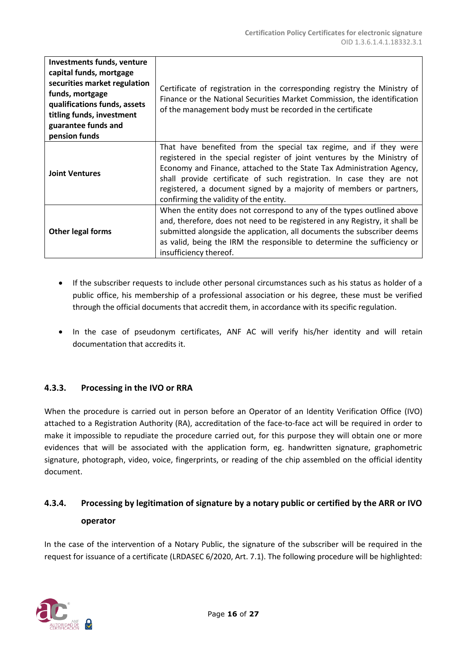| <b>Investments funds, venture</b><br>capital funds, mortgage<br>securities market regulation<br>funds, mortgage<br>qualifications funds, assets<br>titling funds, investment<br>guarantee funds and<br>pension funds | Certificate of registration in the corresponding registry the Ministry of<br>Finance or the National Securities Market Commission, the identification<br>of the management body must be recorded in the certificate                                                                                                                                                                                            |
|----------------------------------------------------------------------------------------------------------------------------------------------------------------------------------------------------------------------|----------------------------------------------------------------------------------------------------------------------------------------------------------------------------------------------------------------------------------------------------------------------------------------------------------------------------------------------------------------------------------------------------------------|
| <b>Joint Ventures</b>                                                                                                                                                                                                | That have benefited from the special tax regime, and if they were<br>registered in the special register of joint ventures by the Ministry of<br>Economy and Finance, attached to the State Tax Administration Agency,<br>shall provide certificate of such registration. In case they are not<br>registered, a document signed by a majority of members or partners,<br>confirming the validity of the entity. |
| Other legal forms                                                                                                                                                                                                    | When the entity does not correspond to any of the types outlined above<br>and, therefore, does not need to be registered in any Registry, it shall be<br>submitted alongside the application, all documents the subscriber deems<br>as valid, being the IRM the responsible to determine the sufficiency or<br>insufficiency thereof.                                                                          |

- If the subscriber requests to include other personal circumstances such as his status as holder of a public office, his membership of a professional association or his degree, these must be verified through the official documents that accredit them, in accordance with its specific regulation.
- In the case of pseudonym certificates, ANF AC will verify his/her identity and will retain documentation that accredits it.

## <span id="page-15-0"></span>**4.3.3. Processing in the IVO or RRA**

When the procedure is carried out in person before an Operator of an Identity Verification Office (IVO) attached to a Registration Authority (RA), accreditation of the face-to-face act will be required in order to make it impossible to repudiate the procedure carried out, for this purpose they will obtain one or more evidences that will be associated with the application form, eg. handwritten signature, graphometric signature, photograph, video, voice, fingerprints, or reading of the chip assembled on the official identity document.

## <span id="page-15-1"></span>**4.3.4. Processing by legitimation of signature by a notary public or certified by the ARR or IVO operator**

In the case of the intervention of a Notary Public, the signature of the subscriber will be required in the request for issuance of a certificate (LRDASEC 6/2020, Art. 7.1). The following procedure will be highlighted:

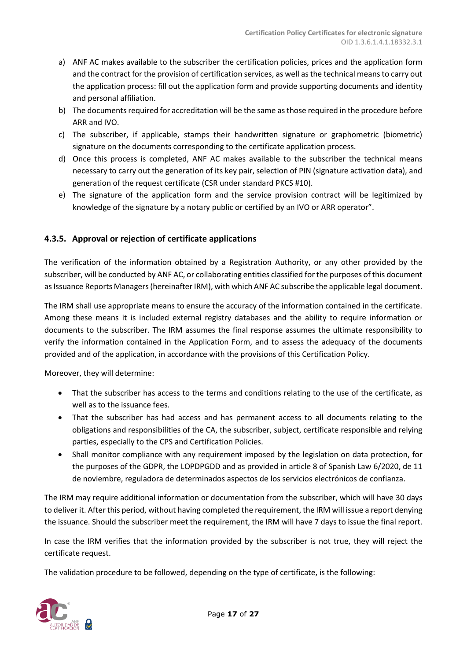- a) ANF AC makes available to the subscriber the certification policies, prices and the application form and the contract for the provision of certification services, as well as the technical means to carry out the application process: fill out the application form and provide supporting documents and identity and personal affiliation.
- b) The documents required for accreditation will be the same as those required in the procedure before ARR and IVO.
- c) The subscriber, if applicable, stamps their handwritten signature or graphometric (biometric) signature on the documents corresponding to the certificate application process.
- d) Once this process is completed, ANF AC makes available to the subscriber the technical means necessary to carry out the generation of its key pair, selection of PIN (signature activation data), and generation of the request certificate (CSR under standard PKCS #10).
- e) The signature of the application form and the service provision contract will be legitimized by knowledge of the signature by a notary public or certified by an IVO or ARR operator".

## <span id="page-16-0"></span>**4.3.5. Approval or rejection of certificate applications**

The verification of the information obtained by a Registration Authority, or any other provided by the subscriber, will be conducted by ANF AC, or collaborating entities classified for the purposes of this document as Issuance Reports Managers (hereinafter IRM), with which ANF AC subscribe the applicable legal document.

The IRM shall use appropriate means to ensure the accuracy of the information contained in the certificate. Among these means it is included external registry databases and the ability to require information or documents to the subscriber. The IRM assumes the final response assumes the ultimate responsibility to verify the information contained in the Application Form, and to assess the adequacy of the documents provided and of the application, in accordance with the provisions of this Certification Policy.

Moreover, they will determine:

- That the subscriber has access to the terms and conditions relating to the use of the certificate, as well as to the issuance fees.
- That the subscriber has had access and has permanent access to all documents relating to the obligations and responsibilities of the CA, the subscriber, subject, certificate responsible and relying parties, especially to the CPS and Certification Policies.
- Shall monitor compliance with any requirement imposed by the legislation on data protection, for the purposes of the GDPR, the LOPDPGDD and as provided in article 8 of Spanish Law 6/2020, de 11 de noviembre, reguladora de determinados aspectos de los servicios electrónicos de confianza.

The IRM may require additional information or documentation from the subscriber, which will have 30 days to deliver it. After this period, without having completed the requirement, the IRM will issue a report denying the issuance. Should the subscriber meet the requirement, the IRM will have 7 days to issue the final report.

In case the IRM verifies that the information provided by the subscriber is not true, they will reject the certificate request.

The validation procedure to be followed, depending on the type of certificate, is the following:

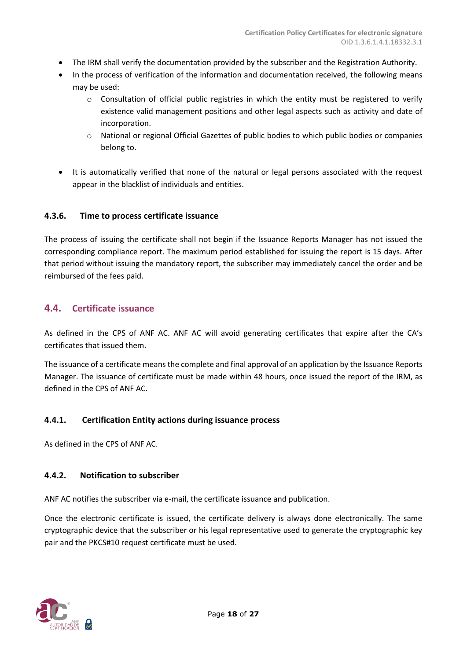- The IRM shall verify the documentation provided by the subscriber and the Registration Authority.
- In the process of verification of the information and documentation received, the following means may be used:
	- $\circ$  Consultation of official public registries in which the entity must be registered to verify existence valid management positions and other legal aspects such as activity and date of incorporation.
	- o National or regional Official Gazettes of public bodies to which public bodies or companies belong to.
- It is automatically verified that none of the natural or legal persons associated with the request appear in the blacklist of individuals and entities.

## <span id="page-17-0"></span>**4.3.6. Time to process certificate issuance**

The process of issuing the certificate shall not begin if the Issuance Reports Manager has not issued the corresponding compliance report. The maximum period established for issuing the report is 15 days. After that period without issuing the mandatory report, the subscriber may immediately cancel the order and be reimbursed of the fees paid.

## <span id="page-17-1"></span>**4.4. Certificate issuance**

As defined in the CPS of ANF AC. ANF AC will avoid generating certificates that expire after the CA's certificates that issued them.

The issuance of a certificate means the complete and final approval of an application by the Issuance Reports Manager. The issuance of certificate must be made within 48 hours, once issued the report of the IRM, as defined in the CPS of ANF AC.

## <span id="page-17-2"></span>**4.4.1. Certification Entity actions during issuance process**

As defined in the CPS of ANF AC.

#### <span id="page-17-3"></span>**4.4.2. Notification to subscriber**

ANF AC notifies the subscriber via e-mail, the certificate issuance and publication.

Once the electronic certificate is issued, the certificate delivery is always done electronically. The same cryptographic device that the subscriber or his legal representative used to generate the cryptographic key pair and the PKCS#10 request certificate must be used.

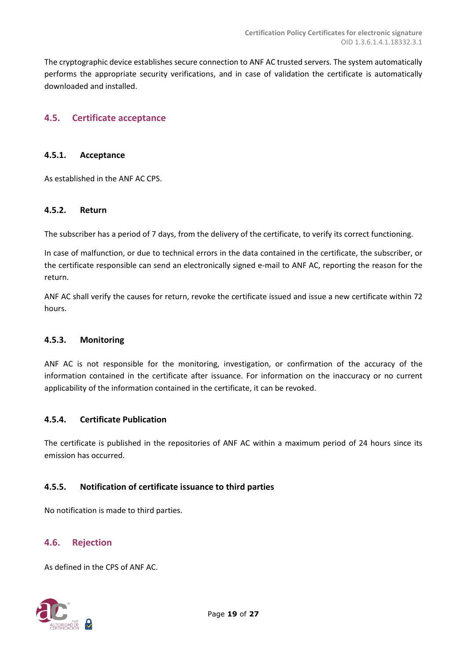The cryptographic device establishes secure connection to ANF AC trusted servers. The system automatically performs the appropriate security verifications, and in case of validation the certificate is automatically downloaded and installed.

## <span id="page-18-0"></span>**4.5. Certificate acceptance**

#### <span id="page-18-1"></span>**4.5.1. Acceptance**

As established in the ANF AC CPS.

#### <span id="page-18-2"></span>**4.5.2. Return**

The subscriber has a period of 7 days, from the delivery of the certificate, to verify its correct functioning.

In case of malfunction, or due to technical errors in the data contained in the certificate, the subscriber, or the certificate responsible can send an electronically signed e-mail to ANF AC, reporting the reason for the return.

ANF AC shall verify the causes for return, revoke the certificate issued and issue a new certificate within 72 hours.

#### <span id="page-18-3"></span>**4.5.3. Monitoring**

ANF AC is not responsible for the monitoring, investigation, or confirmation of the accuracy of the information contained in the certificate after issuance. For information on the inaccuracy or no current applicability of the information contained in the certificate, it can be revoked.

#### <span id="page-18-4"></span>**4.5.4. Certificate Publication**

The certificate is published in the repositories of ANF AC within a maximum period of 24 hours since its emission has occurred.

#### <span id="page-18-5"></span>**4.5.5. Notification of certificate issuance to third parties**

No notification is made to third parties.

#### <span id="page-18-6"></span>**4.6. Rejection**

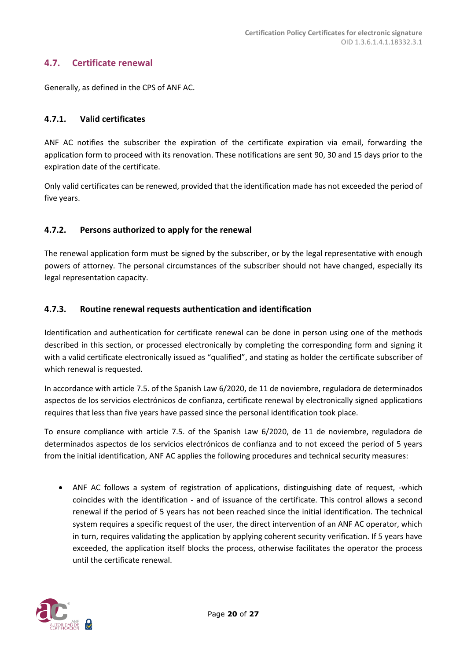## <span id="page-19-0"></span>**4.7. Certificate renewal**

Generally, as defined in the CPS of ANF AC.

## <span id="page-19-1"></span>**4.7.1. Valid certificates**

ANF AC notifies the subscriber the expiration of the certificate expiration via email, forwarding the application form to proceed with its renovation. These notifications are sent 90, 30 and 15 days prior to the expiration date of the certificate.

Only valid certificates can be renewed, provided that the identification made has not exceeded the period of five years.

## <span id="page-19-2"></span>**4.7.2. Persons authorized to apply for the renewal**

The renewal application form must be signed by the subscriber, or by the legal representative with enough powers of attorney. The personal circumstances of the subscriber should not have changed, especially its legal representation capacity.

## <span id="page-19-3"></span>**4.7.3. Routine renewal requests authentication and identification**

Identification and authentication for certificate renewal can be done in person using one of the methods described in this section, or processed electronically by completing the corresponding form and signing it with a valid certificate electronically issued as "qualified", and stating as holder the certificate subscriber of which renewal is requested.

In accordance with article 7.5. of the Spanish Law 6/2020, de 11 de noviembre, reguladora de determinados aspectos de los servicios electrónicos de confianza, certificate renewal by electronically signed applications requires that less than five years have passed since the personal identification took place.

To ensure compliance with article 7.5. of the Spanish Law 6/2020, de 11 de noviembre, reguladora de determinados aspectos de los servicios electrónicos de confianza and to not exceed the period of 5 years from the initial identification, ANF AC applies the following procedures and technical security measures:

• ANF AC follows a system of registration of applications, distinguishing date of request, -which coincides with the identification - and of issuance of the certificate. This control allows a second renewal if the period of 5 years has not been reached since the initial identification. The technical system requires a specific request of the user, the direct intervention of an ANF AC operator, which in turn, requires validating the application by applying coherent security verification. If 5 years have exceeded, the application itself blocks the process, otherwise facilitates the operator the process until the certificate renewal.

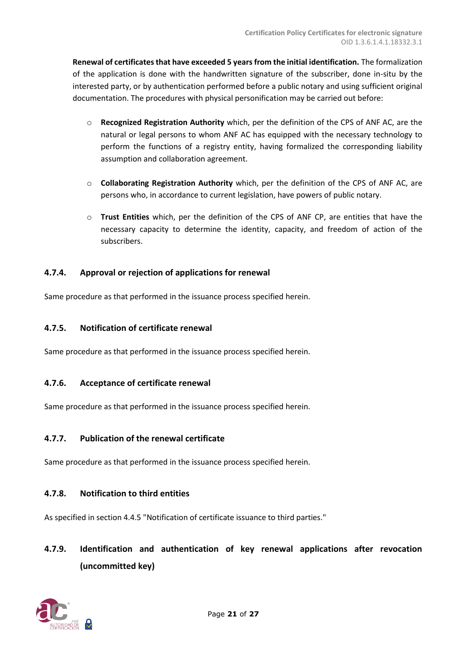**Renewal of certificates that have exceeded 5 years from the initial identification.** The formalization of the application is done with the handwritten signature of the subscriber, done in-situ by the interested party, or by authentication performed before a public notary and using sufficient original documentation. The procedures with physical personification may be carried out before:

- Recognized Registration Authority which, per the definition of the CPS of ANF AC, are the natural or legal persons to whom ANF AC has equipped with the necessary technology to perform the functions of a registry entity, having formalized the corresponding liability assumption and collaboration agreement.
- o **Collaborating Registration Authority** which, per the definition of the CPS of ANF AC, are persons who, in accordance to current legislation, have powers of public notary.
- o **Trust Entities** which, per the definition of the CPS of ANF CP, are entities that have the necessary capacity to determine the identity, capacity, and freedom of action of the subscribers.

## <span id="page-20-0"></span>**4.7.4. Approval or rejection of applications for renewal**

Same procedure as that performed in the issuance process specified herein.

## <span id="page-20-1"></span>**4.7.5. Notification of certificate renewal**

Same procedure as that performed in the issuance process specified herein.

## <span id="page-20-2"></span>**4.7.6. Acceptance of certificate renewal**

Same procedure as that performed in the issuance process specified herein.

#### <span id="page-20-3"></span>**4.7.7. Publication of the renewal certificate**

Same procedure as that performed in the issuance process specified herein.

#### <span id="page-20-4"></span>**4.7.8. Notification to third entities**

As specified in section 4.4.5 "Notification of certificate issuance to third parties."

## <span id="page-20-5"></span>**4.7.9. Identification and authentication of key renewal applications after revocation (uncommitted key)**

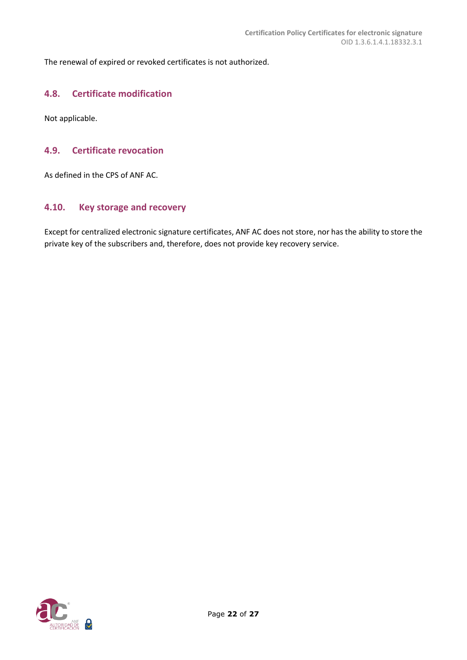The renewal of expired or revoked certificates is not authorized.

## <span id="page-21-0"></span>**4.8. Certificate modification**

Not applicable.

## <span id="page-21-1"></span>**4.9. Certificate revocation**

As defined in the CPS of ANF AC.

#### <span id="page-21-2"></span>**4.10. Key storage and recovery**

Except for centralized electronic signature certificates, ANF AC does not store, nor has the ability to store the private key of the subscribers and, therefore, does not provide key recovery service.

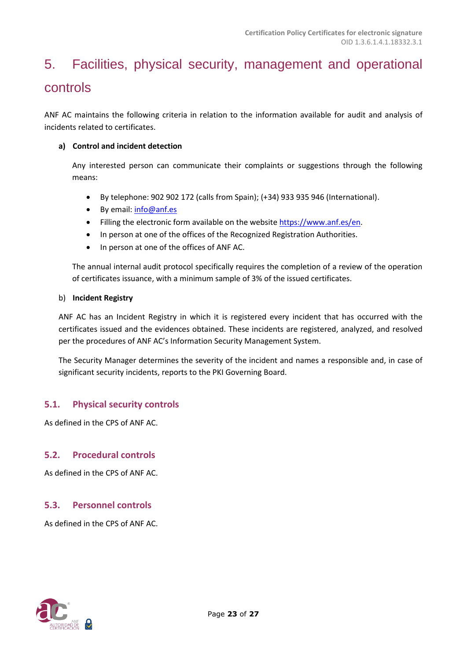# <span id="page-22-0"></span>5. Facilities, physical security, management and operational controls

ANF AC maintains the following criteria in relation to the information available for audit and analysis of incidents related to certificates.

## **a) Control and incident detection**

Any interested person can communicate their complaints or suggestions through the following means:

- By telephone: 902 902 172 (calls from Spain); (+34) 933 935 946 (International).
- By email: [info@anf.es](mailto:info@anf.es)
- Filling the electronic form available on the website [https://www.anf.es/en.](https://www.anf.es/en)
- In person at one of the offices of the Recognized Registration Authorities.
- In person at one of the offices of ANF AC.

The annual internal audit protocol specifically requires the completion of a review of the operation of certificates issuance, with a minimum sample of 3% of the issued certificates.

#### b) **Incident Registry**

ANF AC has an Incident Registry in which it is registered every incident that has occurred with the certificates issued and the evidences obtained. These incidents are registered, analyzed, and resolved per the procedures of ANF AC's Information Security Management System.

The Security Manager determines the severity of the incident and names a responsible and, in case of significant security incidents, reports to the PKI Governing Board.

## <span id="page-22-1"></span>**5.1. Physical security controls**

As defined in the CPS of ANF AC.

## <span id="page-22-2"></span>**5.2. Procedural controls**

As defined in the CPS of ANF AC.

#### <span id="page-22-3"></span>**5.3. Personnel controls**

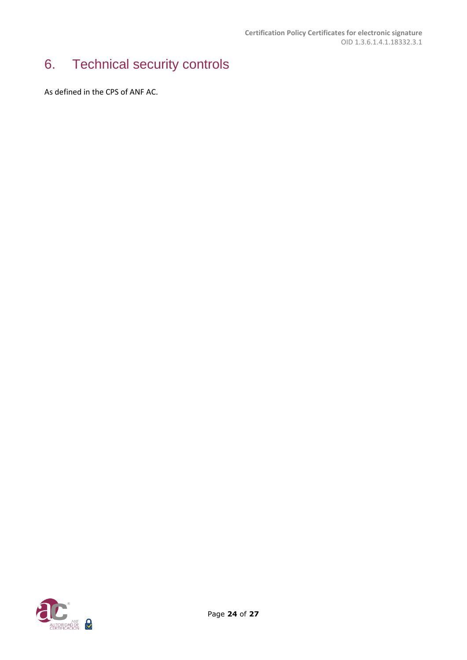# <span id="page-23-0"></span>6. Technical security controls

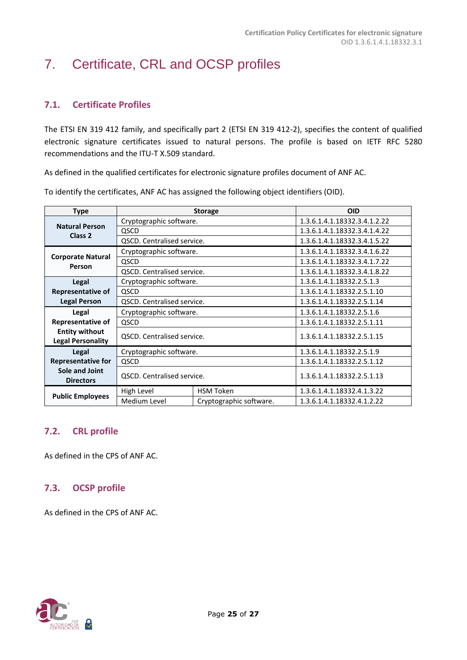# <span id="page-24-0"></span>7. Certificate, CRL and OCSP profiles

## <span id="page-24-1"></span>**7.1. Certificate Profiles**

The ETSI EN 319 412 family, and specifically part 2 (ETSI EN 319 412-2), specifies the content of qualified electronic signature certificates issued to natural persons. The profile is based on IETF RFC 5280 recommendations and the ITU-T X.509 standard.

As defined in the qualified certificates for electronic signature profiles document of ANF AC.

| <b>Type</b>                                       | <b>Storage</b>                    |                         | <b>OID</b>                   |
|---------------------------------------------------|-----------------------------------|-------------------------|------------------------------|
| <b>Natural Person</b>                             | Cryptographic software.           |                         | 1.3.6.1.4.1.18332.3.4.1.2.22 |
| Class <sub>2</sub>                                | QSCD                              |                         | 1.3.6.1.4.1.18332.3.4.1.4.22 |
|                                                   | QSCD. Centralised service.        |                         | 1.3.6.1.4.1.18332.3.4.1.5.22 |
|                                                   | Cryptographic software.           |                         | 1.3.6.1.4.1.18332.3.4.1.6.22 |
| <b>Corporate Natural</b><br>Person                | QSCD                              |                         | 1.3.6.1.4.1.18332.3.4.1.7.22 |
|                                                   | QSCD. Centralised service.        |                         | 1.3.6.1.4.1.18332.3.4.1.8.22 |
| Legal                                             | Cryptographic software.           |                         | 1.3.6.1.4.1.18332.2.5.1.3    |
| <b>Representative of</b>                          | <b>QSCD</b>                       |                         | 1.3.6.1.4.1.18332.2.5.1.10   |
| <b>Legal Person</b>                               | QSCD. Centralised service.        |                         | 1.3.6.1.4.1.18332.2.5.1.14   |
| Legal                                             | Cryptographic software.           |                         | 1.3.6.1.4.1.18332.2.5.1.6    |
| Representative of                                 | <b>OSCD</b>                       |                         | 1.3.6.1.4.1.18332.2.5.1.11   |
| <b>Entity without</b><br><b>Legal Personality</b> | <b>QSCD.</b> Centralised service. |                         | 1.3.6.1.4.1.18332.2.5.1.15   |
| Legal                                             | Cryptographic software.           |                         | 1.3.6.1.4.1.18332.2.5.1.9    |
| <b>Representative for</b>                         | QSCD                              |                         | 1.3.6.1.4.1.18332.2.5.1.12   |
| Sole and Joint<br><b>Directors</b>                | <b>QSCD. Centralised service.</b> |                         | 1.3.6.1.4.1.18332.2.5.1.13   |
|                                                   | High Level                        | <b>HSM Token</b>        | 1.3.6.1.4.1.18332.4.1.3.22   |
| <b>Public Employees</b>                           | Medium Level                      | Cryptographic software. | 1.3.6.1.4.1.18332.4.1.2.22   |

To identify the certificates, ANF AC has assigned the following object identifiers (OID).

## <span id="page-24-2"></span>**7.2. CRL profile**

As defined in the CPS of ANF AC.

## <span id="page-24-3"></span>**7.3. OCSP profile**

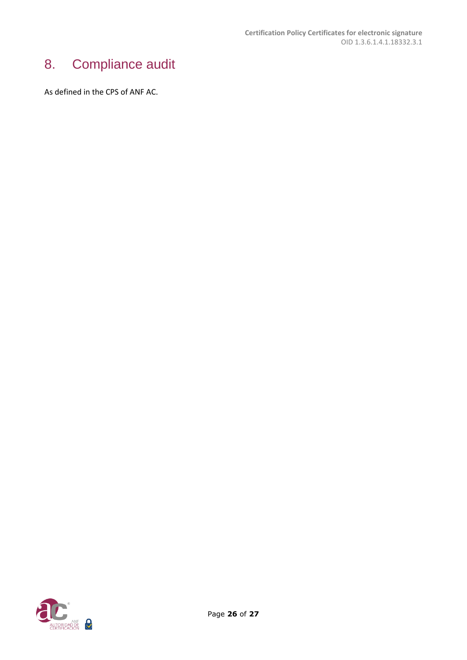# <span id="page-25-0"></span>8. Compliance audit